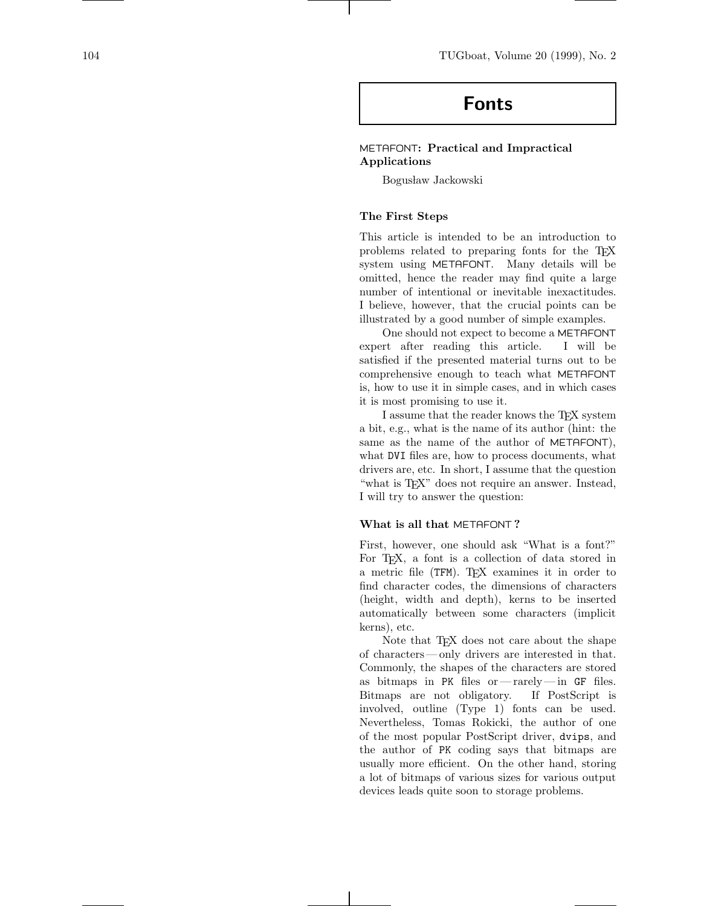# **Fonts**

## METAFONT**: Practical and Impractical Applications**

Bogusław Jackowski

#### **The First Steps**

This article is intended to be an introduction to problems related to preparing fonts for the TEX system using METAFONT. Many details will be omitted, hence the reader may find quite a large number of intentional or inevitable inexactitudes. I believe, however, that the crucial points can be illustrated by a good number of simple examples.

One should not expect to become a METAFONT expert after reading this article. I will be satisfied if the presented material turns out to be comprehensive enough to teach what METAFONT is, how to use it in simple cases, and in which cases it is most promising to use it.

I assume that the reader knows the TEX system a bit, e.g., what is the name of its author (hint: the same as the name of the author of METAFONT), what DVI files are, how to process documents, what drivers are, etc. In short, I assume that the question "what is T<sub>F</sub>X" does not require an answer. Instead, I will try to answer the question:

#### **What is all that** METAFONT **?**

First, however, one should ask "What is a font?" For TEX, a font is a collection of data stored in a metric file (TFM). T<sub>E</sub>X examines it in order to find character codes, the dimensions of characters (height, width and depth), kerns to be inserted automatically between some characters (implicit kerns), etc.

Note that T<sub>E</sub>X does not care about the shape of characters— only drivers are interested in that. Commonly, the shapes of the characters are stored as bitmaps in PK files or— rarely— in GF files. Bitmaps are not obligatory. If PostScript is involved, outline (Type 1) fonts can be used. Nevertheless, Tomas Rokicki, the author of one of the most popular PostScript driver, dvips, and the author of PK coding says that bitmaps are usually more efficient. On the other hand, storing a lot of bitmaps of various sizes for various output devices leads quite soon to storage problems.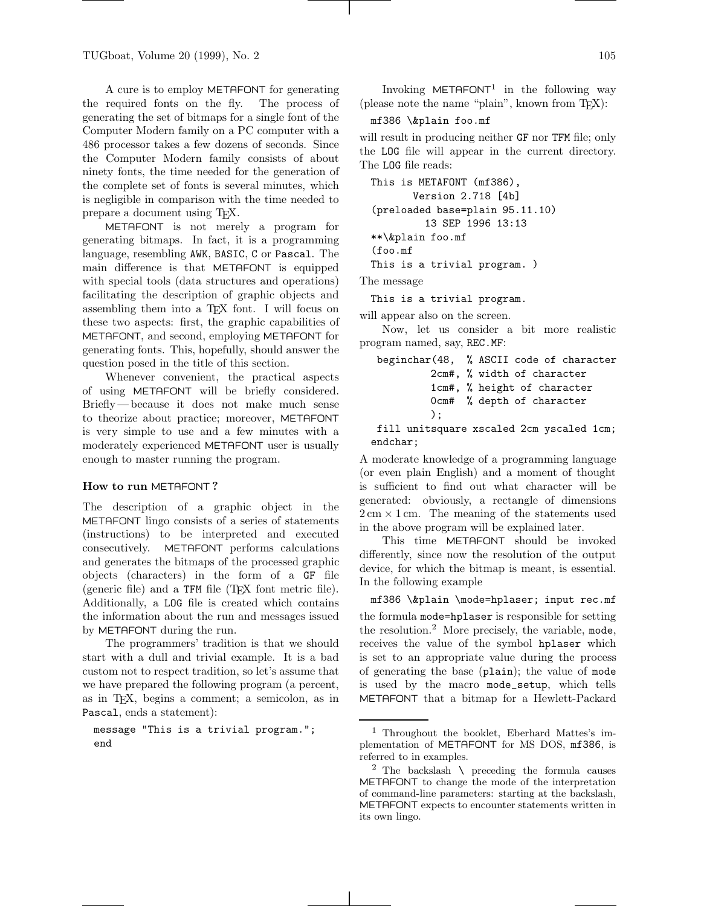A cure is to employ METAFONT for generating the required fonts on the fly. The process of generating the set of bitmaps for a single font of the Computer Modern family on a PC computer with a 486 processor takes a few dozens of seconds. Since the Computer Modern family consists of about ninety fonts, the time needed for the generation of the complete set of fonts is several minutes, which is negligible in comparison with the time needed to prepare a document using TEX.

METAFONT is not merely a program for generating bitmaps. In fact, it is a programming language, resembling AWK, BASIC, C or Pascal. The main difference is that METAFONT is equipped with special tools (data structures and operations) facilitating the description of graphic objects and assembling them into a T<sub>E</sub>X font. I will focus on these two aspects: first, the graphic capabilities of METAFONT, and second, employing METAFONT for generating fonts. This, hopefully, should answer the question posed in the title of this section.

Whenever convenient, the practical aspects of using METAFONT will be briefly considered. Briefly— because it does not make much sense to theorize about practice; moreover, METAFONT is very simple to use and a few minutes with a moderately experienced METAFONT user is usually enough to master running the program.

#### **How to run** METAFONT **?**

The description of a graphic object in the METAFONT lingo consists of a series of statements (instructions) to be interpreted and executed consecutively. METAFONT performs calculations and generates the bitmaps of the processed graphic objects (characters) in the form of a GF file (generic file) and a TFM file (TEX font metric file). Additionally, a LOG file is created which contains the information about the run and messages issued by METAFONT during the run.

The programmers' tradition is that we should start with a dull and trivial example. It is a bad custom not to respect tradition, so let's assume that we have prepared the following program (a percent, as in TEX, begins a comment; a semicolon, as in Pascal, ends a statement):

message "This is a trivial program."; end

Invoking  $METAFONT<sup>1</sup>$  in the following way (please note the name "plain", known from  $T\not\!\!F X$ ):

#### mf386 \&plain foo.mf

will result in producing neither GF nor TFM file; only the LOG file will appear in the current directory. The LOG file reads:

```
This is METAFONT (mf386),
         Version 2.718 [4b]
 (preloaded base=plain 95.11.10)
           13 SEP 1996 13:13
 **\&plain foo.mf
 (foo.mf
 This is a trivial program. )
The message
```
This is a trivial program.

will appear also on the screen.

Now, let us consider a bit more realistic program named, say, REC.MF:

```
beginchar(48, % ASCII code of character
         2cm#, % width of character
         1cm#, % height of character
         0cm# % depth of character
        );
```
fill unitsquare xscaled 2cm yscaled 1cm; endchar;

A moderate knowledge of a programming language (or even plain English) and a moment of thought is sufficient to find out what character will be generated: obviously, a rectangle of dimensions  $2 \text{ cm} \times 1 \text{ cm}$ . The meaning of the statements used in the above program will be explained later.

This time METAFONT should be invoked differently, since now the resolution of the output device, for which the bitmap is meant, is essential. In the following example

mf386 \&plain \mode=hplaser; input rec.mf the formula mode=hplaser is responsible for setting the resolution.<sup>2</sup> More precisely, the variable, mode, receives the value of the symbol hplaser which is set to an appropriate value during the process of generating the base (plain); the value of mode is used by the macro mode\_setup, which tells METAFONT that a bitmap for a Hewlett-Packard

<sup>&</sup>lt;sup>1</sup> Throughout the booklet, Eberhard Mattes's implementation of METAFONT for MS DOS, mf386, is referred to in examples.

<sup>&</sup>lt;sup>2</sup> The backslash  $\setminus$  preceding the formula causes METAFONT to change the mode of the interpretation of command-line parameters: starting at the backslash, METAFONT expects to encounter statements written in its own lingo.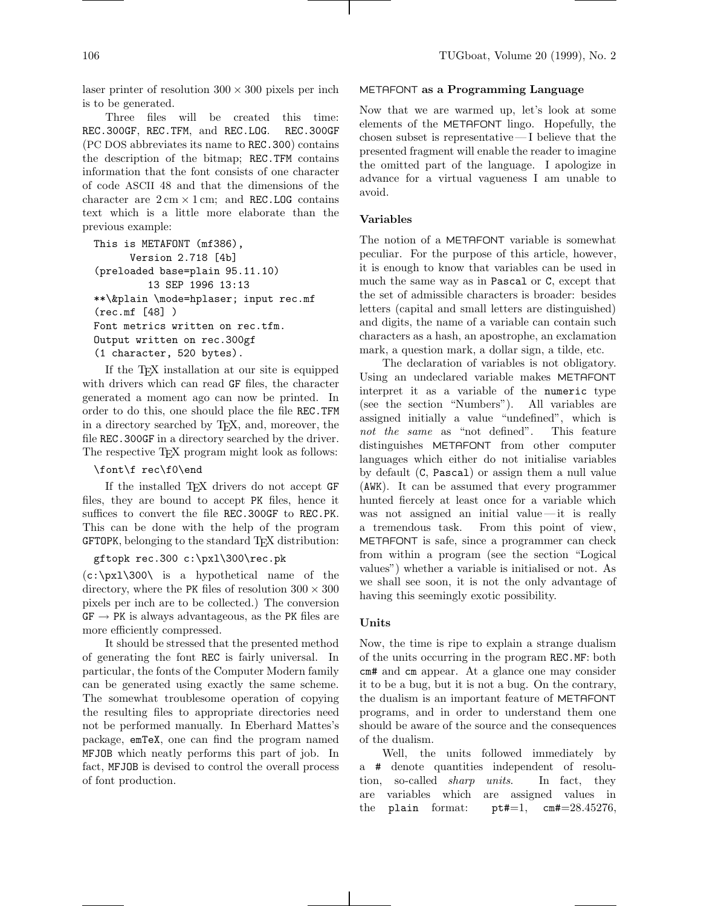laser printer of resolution  $300 \times 300$  pixels per inch is to be generated.

Three files will be created this time: REC.300GF, REC.TFM, and REC.LOG. REC.300GF (PC DOS abbreviates its name to REC.300) contains the description of the bitmap; REC.TFM contains information that the font consists of one character of code ASCII 48 and that the dimensions of the character are  $2 \text{ cm} \times 1 \text{ cm}$ ; and REC.LOG contains text which is a little more elaborate than the previous example:

```
This is METAFONT (mf386),
     Version 2.718 [4b]
(preloaded base=plain 95.11.10)
         13 SEP 1996 13:13
**\&plain \mode=hplaser; input rec.mf
(rec.mf [48] )
Font metrics written on rec.tfm.
Output written on rec.300gf
(1 character, 520 bytes).
```
If the TEX installation at our site is equipped with drivers which can read GF files, the character generated a moment ago can now be printed. In order to do this, one should place the file REC.TFM in a directory searched by TEX, and, moreover, the file REC.300GF in a directory searched by the driver. The respective T<sub>EX</sub> program might look as follows:

#### \font\f rec\f0\end

If the installed TEX drivers do not accept GF files, they are bound to accept PK files, hence it suffices to convert the file REC.300GF to REC.PK. This can be done with the help of the program GFTOPK, belonging to the standard T<sub>F</sub>X distribution:

#### gftopk rec.300 c:\pxl\300\rec.pk

 $(c:\px1\300\$  is a hypothetical name of the directory, where the PK files of resolution  $300 \times 300$ pixels per inch are to be collected.) The conversion  $GF \rightarrow PK$  is always advantageous, as the PK files are more efficiently compressed.

It should be stressed that the presented method of generating the font REC is fairly universal. In particular, the fonts of the Computer Modern family can be generated using exactly the same scheme. The somewhat troublesome operation of copying the resulting files to appropriate directories need not be performed manually. In Eberhard Mattes's package, emTeX, one can find the program named MFJOB which neatly performs this part of job. In fact, MFJOB is devised to control the overall process of font production.

#### METAFONT **as a Programming Language**

Now that we are warmed up, let's look at some elements of the METAFONT lingo. Hopefully, the chosen subset is representative— I believe that the presented fragment will enable the reader to imagine the omitted part of the language. I apologize in advance for a virtual vagueness I am unable to avoid.

#### **Variables**

The notion of a METAFONT variable is somewhat peculiar. For the purpose of this article, however, it is enough to know that variables can be used in much the same way as in Pascal or C, except that the set of admissible characters is broader: besides letters (capital and small letters are distinguished) and digits, the name of a variable can contain such characters as a hash, an apostrophe, an exclamation mark, a question mark, a dollar sign, a tilde, etc.

The declaration of variables is not obligatory. Using an undeclared variable makes METAFONT interpret it as a variable of the numeric type (see the section "Numbers"). All variables are assigned initially a value "undefined", which is not the same as "not defined". This feature distinguishes METAFONT from other computer languages which either do not initialise variables by default (C, Pascal) or assign them a null value (AWK). It can be assumed that every programmer hunted fiercely at least once for a variable which was not assigned an initial value —it is really a tremendous task. From this point of view, METAFONT is safe, since a programmer can check from within a program (see the section "Logical values") whether a variable is initialised or not. As we shall see soon, it is not the only advantage of having this seemingly exotic possibility.

#### **Units**

Now, the time is ripe to explain a strange dualism of the units occurring in the program REC.MF: both cm# and cm appear. At a glance one may consider it to be a bug, but it is not a bug. On the contrary, the dualism is an important feature of METAFONT programs, and in order to understand them one should be aware of the source and the consequences of the dualism.

Well, the units followed immediately by a # denote quantities independent of resolution, so-called *sharp* units. In fact, they are variables which are assigned values in the plain format:  $pt#=1$ ,  $cm#=28.45276$ ,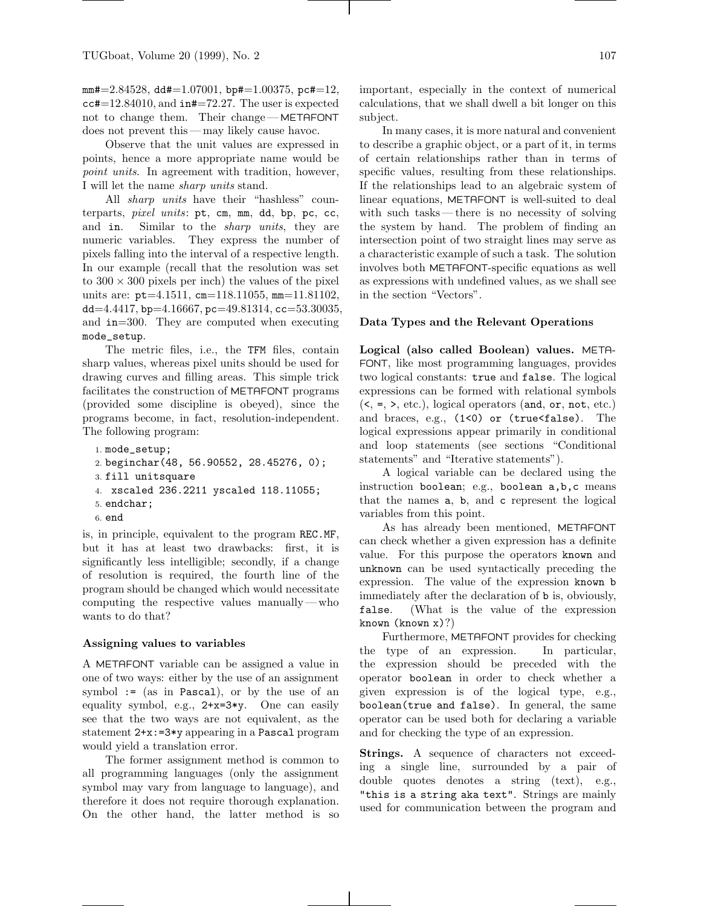$mm\texttt{\#=2.84528, d}$  dd $\texttt{\#=1.07001, bp}\texttt{\#=1.00375, pc}\texttt{\#=12,}$ cc#=12.84010, and in#=72.27. The user is expected not to change them. Their change— METAFONT does not prevent this — may likely cause havoc.

Observe that the unit values are expressed in points, hence a more appropriate name would be point units. In agreement with tradition, however, I will let the name sharp units stand.

All *sharp* units have their "hashless" counterparts, pixel units: pt, cm, mm, dd, bp, pc, cc, and in. Similar to the sharp units, they are numeric variables. They express the number of pixels falling into the interval of a respective length. In our example (recall that the resolution was set to  $300 \times 300$  pixels per inch) the values of the pixel units are: pt=4.1511, cm=118.11055, mm=11.81102, dd=4.4417, bp=4.16667, pc=49.81314, cc=53.30035, and in=300. They are computed when executing mode\_setup.

The metric files, i.e., the TFM files, contain sharp values, whereas pixel units should be used for drawing curves and filling areas. This simple trick facilitates the construction of METAFONT programs (provided some discipline is obeyed), since the programs become, in fact, resolution-independent. The following program:

```
1. mode_setup;
2. beginchar(48, 56.90552, 28.45276, 0);
3. fill unitsquare
4. xscaled 236.2211 yscaled 118.11055;
5. endchar;
6. end
```
is, in principle, equivalent to the program REC.MF, but it has at least two drawbacks: first, it is significantly less intelligible; secondly, if a change of resolution is required, the fourth line of the program should be changed which would necessitate computing the respective values manually—who wants to do that?

#### **Assigning values to variables**

A METAFONT variable can be assigned a value in one of two ways: either by the use of an assignment symbol  $:=(as \in Pascal)$ , or by the use of an equality symbol, e.g., 2+x=3\*y. One can easily see that the two ways are not equivalent, as the statement 2+x:=3\*y appearing in a Pascal program would yield a translation error.

The former assignment method is common to all programming languages (only the assignment symbol may vary from language to language), and therefore it does not require thorough explanation. On the other hand, the latter method is so important, especially in the context of numerical calculations, that we shall dwell a bit longer on this subject.

In many cases, it is more natural and convenient to describe a graphic object, or a part of it, in terms of certain relationships rather than in terms of specific values, resulting from these relationships. If the relationships lead to an algebraic system of linear equations, METAFONT is well-suited to deal with such tasks— there is no necessity of solving the system by hand. The problem of finding an intersection point of two straight lines may serve as a characteristic example of such a task. The solution involves both METAFONT-specific equations as well as expressions with undefined values, as we shall see in the section "Vectors".

#### **Data Types and the Relevant Operations**

**Logical (also called Boolean) values.** META-FONT, like most programming languages, provides two logical constants: true and false. The logical expressions can be formed with relational symbols  $(<, =, >, etc.),$  logical operators (and, or, not, etc.) and braces, e.g., (1<0) or (true<false). The logical expressions appear primarily in conditional and loop statements (see sections "Conditional statements" and "Iterative statements").

A logical variable can be declared using the instruction boolean; e.g., boolean a,b,c means that the names a, b, and c represent the logical variables from this point.

As has already been mentioned, METAFONT can check whether a given expression has a definite value. For this purpose the operators known and unknown can be used syntactically preceding the expression. The value of the expression known b immediately after the declaration of b is, obviously, false. (What is the value of the expression known (known x)?)

Furthermore, METAFONT provides for checking the type of an expression. In particular, the expression should be preceded with the operator boolean in order to check whether a given expression is of the logical type, e.g., boolean(true and false). In general, the same operator can be used both for declaring a variable and for checking the type of an expression.

**Strings.** A sequence of characters not exceeding a single line, surrounded by a pair of double quotes denotes a string (text), e.g., "this is a string aka text". Strings are mainly used for communication between the program and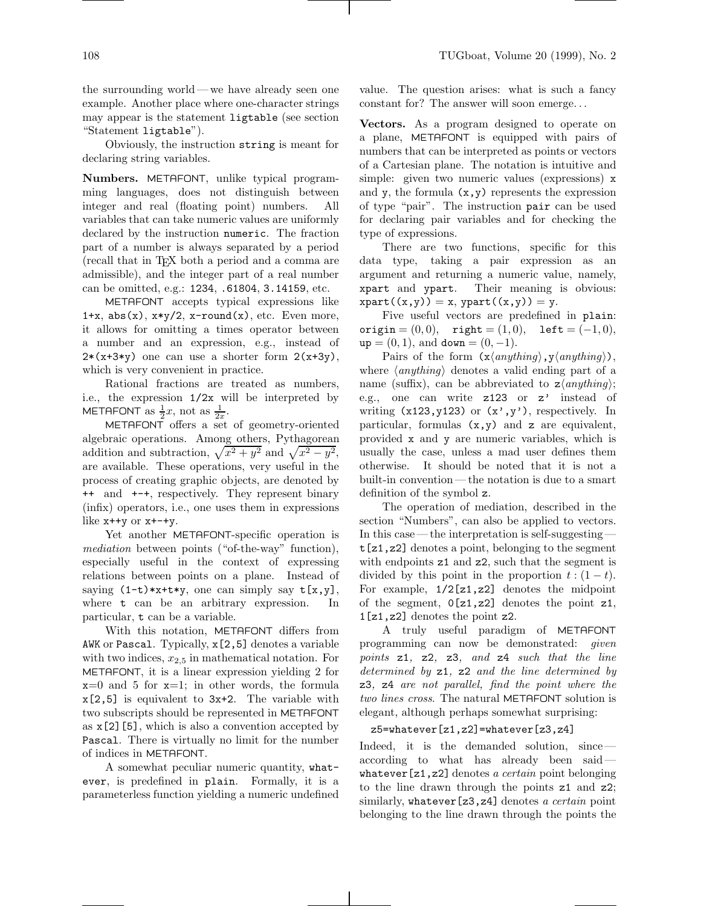the surrounding world— we have already seen one example. Another place where one-character strings may appear is the statement ligtable (see section "Statement ligtable").

Obviously, the instruction string is meant for declaring string variables.

**Numbers.** METAFONT, unlike typical programming languages, does not distinguish between integer and real (floating point) numbers. All variables that can take numeric values are uniformly declared by the instruction numeric. The fraction part of a number is always separated by a period (recall that in TEX both a period and a comma are admissible), and the integer part of a real number can be omitted, e.g.: 1234, .61804, 3.14159, etc.

METAFONT accepts typical expressions like 1+x, abs(x),  $x*y/2$ ,  $x$ -round(x), etc. Even more, it allows for omitting a times operator between a number and an expression, e.g., instead of  $2*(x+3*y)$  one can use a shorter form  $2(x+3y)$ , which is very convenient in practice.

Rational fractions are treated as numbers, i.e., the expression 1/2x will be interpreted by METAFONT as  $\frac{1}{2}x$ , not as  $\frac{1}{2x}$ .

METAFONT offers a set of geometry-oriented algebraic operations. Among others, Pythagorean addition and subtraction,  $\sqrt{x^2 + y^2}$  and  $\sqrt{x^2 - y^2}$ , are available. These operations, very useful in the process of creating graphic objects, are denoted by ++ and +-+, respectively. They represent binary (infix) operators, i.e., one uses them in expressions like  $x$ ++ $y$  or  $x$ +-+ $y$ .

Yet another METAFONT-specific operation is mediation between points ("of-the-way" function), especially useful in the context of expressing relations between points on a plane. Instead of saying  $(1-t)*x+ty$ , one can simply say  $t[x,y]$ , where **t** can be an arbitrary expression. In particular, t can be a variable.

With this notation, METAFONT differs from AWK or Pascal. Typically, x[2,5] denotes a variable with two indices,  $x_{2,5}$  in mathematical notation. For METAFONT, it is a linear expression yielding 2 for  $x=0$  and 5 for  $x=1$ ; in other words, the formula x[2,5] is equivalent to 3x+2. The variable with two subscripts should be represented in METAFONT as  $x[2][5]$ , which is also a convention accepted by Pascal. There is virtually no limit for the number of indices in METAFONT.

A somewhat peculiar numeric quantity, whatever, is predefined in plain. Formally, it is a parameterless function yielding a numeric undefined value. The question arises: what is such a fancy constant for? The answer will soon emerge...

**Vectors.** As a program designed to operate on a plane, METAFONT is equipped with pairs of numbers that can be interpreted as points or vectors of a Cartesian plane. The notation is intuitive and simple: given two numeric values (expressions) x and y, the formula  $(x, y)$  represents the expression of type "pair". The instruction pair can be used for declaring pair variables and for checking the type of expressions.

There are two functions, specific for this data type, taking a pair expression as an argument and returning a numeric value, namely, xpart and ypart. Their meaning is obvious:  $xpart((x,y)) = x$ ,  $ypart((x,y)) = y$ .

Five useful vectors are predefined in plain: origin =  $(0, 0)$ , right =  $(1, 0)$ , left =  $(-1, 0)$ ,  $up = (0, 1)$ , and  $down = (0, -1)$ .

Pairs of the form  $(x\langle anything\rangle, y\langle anything\rangle),$ where  $\langle anything \rangle$  denotes a valid ending part of a name (suffix), can be abbreviated to  $z\langle\frac{\textit{anything}}{\textit{aug}}\rangle$ ; e.g., one can write z123 or z' instead of writing  $(x123, y123)$  or  $(x', y')$ , respectively. In particular, formulas  $(x,y)$  and z are equivalent, provided x and y are numeric variables, which is usually the case, unless a mad user defines them otherwise. It should be noted that it is not a built-in convention— the notation is due to a smart definition of the symbol z.

The operation of mediation, described in the section "Numbers", can also be applied to vectors. In this case—the interpretation is self-suggesting t[z1,z2] denotes a point, belonging to the segment with endpoints  $z1$  and  $z2$ , such that the segment is divided by this point in the proportion  $t:(1-t)$ . For example, 1/2[z1,z2] denotes the midpoint of the segment,  $0[z1,z2]$  denotes the point  $z1$ , 1[z1,z2] denotes the point z2.

A truly useful paradigm of METAFONT programming can now be demonstrated: given points z1, z2, z3, and z4 such that the line determined by z1, z2 and the line determined by z3, z4 are not parallel, find the point where the two lines cross. The natural METAFONT solution is elegant, although perhaps somewhat surprising:

#### z5=whatever[z1,z2]=whatever[z3,z4]

Indeed, it is the demanded solution, since according to what has already been said whatever  $[z1,z2]$  denotes a certain point belonging to the line drawn through the points z1 and z2; similarly, whatever  $[z3,z4]$  denotes a certain point belonging to the line drawn through the points the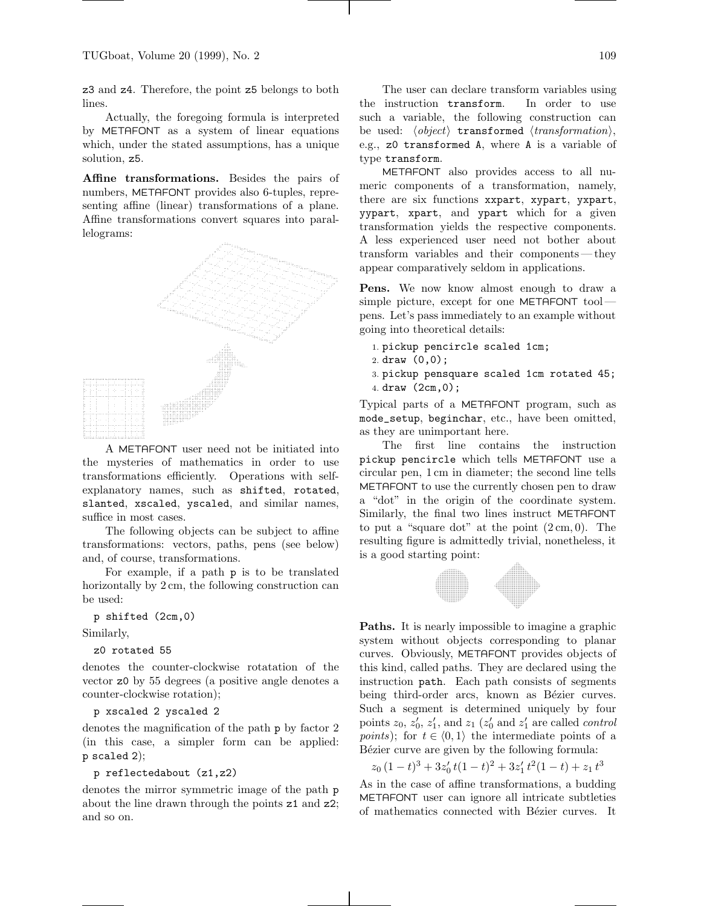z3 and z4. Therefore, the point z5 belongs to both lines.

Actually, the foregoing formula is interpreted by METAFONT as a system of linear equations which, under the stated assumptions, has a unique solution, z5.

**Affine transformations.** Besides the pairs of numbers, METAFONT provides also 6-tuples, representing affine (linear) transformations of a plane. Affine transformations convert squares into parallelograms:



A METAFONT user need not be initiated into the mysteries of mathematics in order to use transformations efficiently. Operations with selfexplanatory names, such as shifted, rotated, slanted, xscaled, yscaled, and similar names, suffice in most cases.

The following objects can be subject to affine transformations: vectors, paths, pens (see below) and, of course, transformations.

For example, if a path p is to be translated horizontally by  $2 \text{ cm}$ , the following construction can be used:

p shifted (2cm,0)

Similarly,

z0 rotated 55

denotes the counter-clockwise rotatation of the vector z0 by 55 degrees (a positive angle denotes a counter-clockwise rotation);

#### p xscaled 2 yscaled 2

denotes the magnification of the path p by factor 2 (in this case, a simpler form can be applied: p scaled 2);

#### p reflectedabout (z1,z2)

denotes the mirror symmetric image of the path p about the line drawn through the points z1 and z2; and so on.

The user can declare transform variables using the instruction transform. In order to use such a variable, the following construction can be used:  $\langle object \rangle$  transformed  $\langle transformation \rangle$ , e.g., z0 transformed A, where A is a variable of type transform.

METAFONT also provides access to all numeric components of a transformation, namely, there are six functions xxpart, xypart, yxpart, yypart, xpart, and ypart which for a given transformation yields the respective components. A less experienced user need not bother about transform variables and their components— they appear comparatively seldom in applications.

Pens. We now know almost enough to draw a simple picture, except for one METAFONT tool pens. Let's pass immediately to an example without going into theoretical details:

- 1. pickup pencircle scaled 1cm;
- 2. draw (0,0);
- 3. pickup pensquare scaled 1cm rotated 45; 4. draw (2cm,0);

Typical parts of a METAFONT program, such as mode\_setup, beginchar, etc., have been omitted, as they are unimportant here.

The first line contains the instruction pickup pencircle which tells METAFONT use a circular pen, 1cm in diameter; the second line tells METAFONT to use the currently chosen pen to draw a "dot" in the origin of the coordinate system. Similarly, the final two lines instruct METAFONT to put a "square dot" at the point  $(2 \text{ cm}, 0)$ . The resulting figure is admittedly trivial, nonetheless, it is a good starting point:



**Paths.** It is nearly impossible to imagine a graphic system without objects corresponding to planar curves. Obviously, METAFONT provides objects of this kind, called paths. They are declared using the instruction path. Each path consists of segments being third-order arcs, known as Bézier curves. Such a segment is determined uniquely by four points  $z_0$ ,  $z'_0$ ,  $z'_1$ , and  $z_1$  ( $z'_0$  and  $z'_1$  are called *control points*); for  $t \in (0, 1)$  the intermediate points of a Bézier curve are given by the following formula:

$$
z_0(1-t)^3 + 3z'_0 t(1-t)^2 + 3z'_1 t^2(1-t) + z_1 t^3
$$

As in the case of affine transformations, a budding METAFONT user can ignore all intricate subtleties of mathematics connected with Bézier curves. It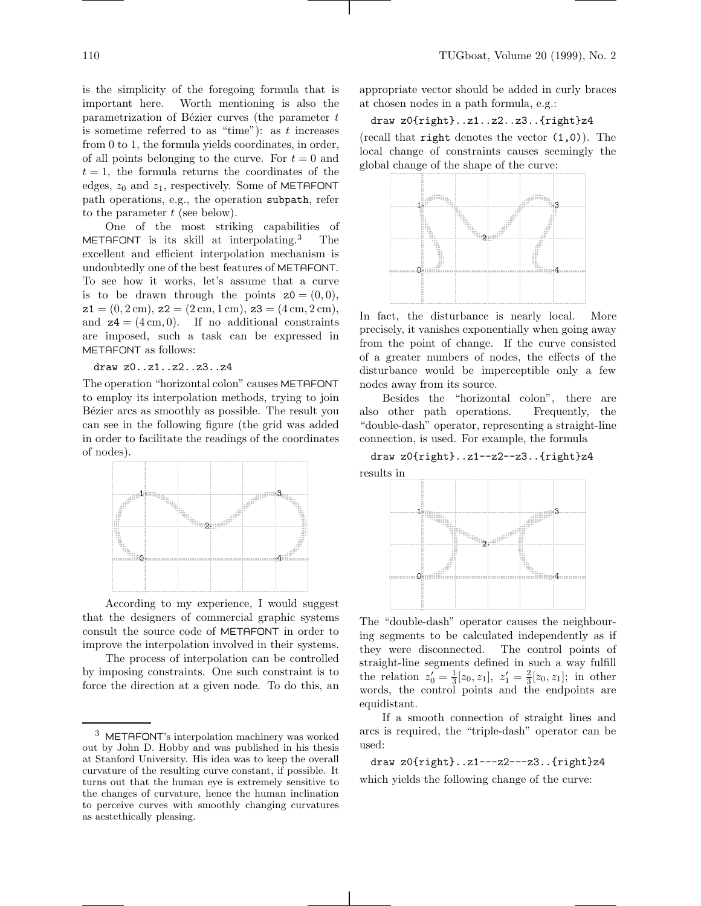is the simplicity of the foregoing formula that is important here. Worth mentioning is also the parametrization of Bézier curves (the parameter  $t$ is sometime referred to as "time"): as  $t$  increases from 0 to 1, the formula yields coordinates, in order, of all points belonging to the curve. For  $t = 0$  and  $t = 1$ , the formula returns the coordinates of the edges,  $z_0$  and  $z_1$ , respectively. Some of METAFONT path operations, e.g., the operation subpath, refer to the parameter  $t$  (see below).

One of the most striking capabilities of METAFONT is its skill at interpolating.<sup>3</sup> The excellent and efficient interpolation mechanism is undoubtedly one of the best features of METAFONT. To see how it works, let's assume that a curve is to be drawn through the points  $z0 = (0, 0)$ ,  $z1 = (0, 2 \text{ cm}), z2 = (2 \text{ cm}, 1 \text{ cm}), z3 = (4 \text{ cm}, 2 \text{ cm}),$ and  $z = (4 \text{ cm}, 0)$ . If no additional constraints are imposed, such a task can be expressed in METAFONT as follows:

draw z0..z1..z2..z3..z4

The operation "horizontal colon" causes METAFONT to employ its interpolation methods, trying to join Bézier arcs as smoothly as possible. The result you can see in the following figure (the grid was added in order to facilitate the readings of the coordinates of nodes).



According to my experience, I would suggest that the designers of commercial graphic systems consult the source code of METAFONT in order to improve the interpolation involved in their systems.

The process of interpolation can be controlled by imposing constraints. One such constraint is to force the direction at a given node. To do this, an appropriate vector should be added in curly braces at chosen nodes in a path formula, e.g.:

# draw z0{right}..z1..z2..z3..{right}z4

(recall that **right** denotes the vector  $(1,0)$ ). The local change of constraints causes seemingly the global change of the shape of the curve:



In fact, the disturbance is nearly local. More precisely, it vanishes exponentially when going away from the point of change. If the curve consisted of a greater numbers of nodes, the effects of the disturbance would be imperceptible only a few nodes away from its source.

Besides the "horizontal colon", there are also other path operations. Frequently, the "double-dash" operator, representing a straight-line connection, is used. For example, the formula

draw z0{right}..z1--z2--z3..{right}z4

results in



The "double-dash" operator causes the neighbouring segments to be calculated independently as if they were disconnected. The control points of straight-line segments defined in such a way fulfill the relation  $z'_0 = \frac{1}{3}[z_0, z_1], z'_1 = \frac{2}{3}[z_0, z_1];$  in other words, the control points and the endpoints are equidistant.

If a smooth connection of straight lines and arcs is required, the "triple-dash" operator can be used:

draw z0{right}..z1---z2---z3..{right}z4 which yields the following change of the curve:

<sup>3</sup> METAFONT's interpolation machinery was worked out by John D. Hobby and was published in his thesis at Stanford University. His idea was to keep the overall curvature of the resulting curve constant, if possible. It turns out that the human eye is extremely sensitive to the changes of curvature, hence the human inclination to perceive curves with smoothly changing curvatures as aestethically pleasing.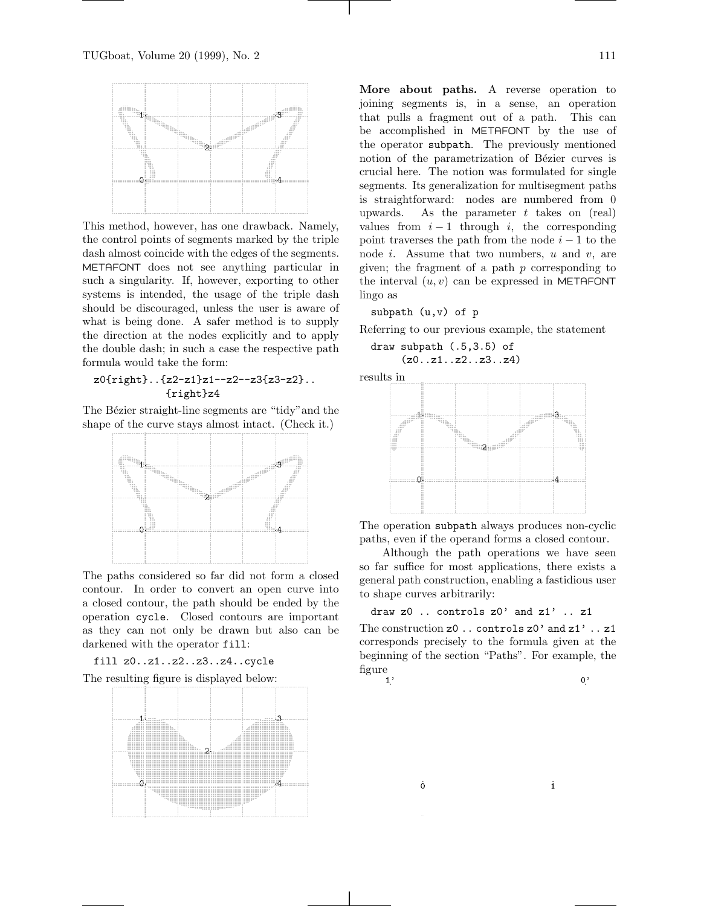

This method, however, has one drawback. Namely, the control points of segments marked by the triple dash almost coincide with the edges of the segments. METAFONT does not see anything particular in such a singularity. If, however, exporting to other systems is intended, the usage of the triple dash should be discouraged, unless the user is aware of what is being done. A safer method is to supply the direction at the nodes explicitly and to apply the double dash; in such a case the respective path formula would take the form:

# z0{right}..{z2-z1}z1--z2--z3{z3-z2}.. {right}z4

The Bézier straight-line segments are "tidy" and the shape of the curve stays almost intact. (Check it.)



The paths considered so far did not form a closed contour. In order to convert an open curve into a closed contour, the path should be ended by the operation cycle. Closed contours are important as they can not only be drawn but also can be darkened with the operator fill:



The resulting figure is displayed below:



**More about paths.** A reverse operation to joining segments is, in a sense, an operation that pulls a fragment out of a path. This can be accomplished in METAFONT by the use of the operator subpath. The previously mentioned notion of the parametrization of Bézier curves is crucial here. The notion was formulated for single segments. Its generalization for multisegment paths is straightforward: nodes are numbered from 0 upwards. As the parameter  $t$  takes on (real) values from  $i - 1$  through i, the corresponding point traverses the path from the node  $i - 1$  to the node *i*. Assume that two numbers,  $u$  and  $v$ , are given; the fragment of a path  $p$  corresponding to the interval  $(u, v)$  can be expressed in METAFONT lingo as

subpath (u,v) of p

Referring to our previous example, the statement

draw subpath (.5,3.5) of (z0..z1..z2..z3..z4)

results in



The operation subpath always produces non-cyclic paths, even if the operand forms a closed contour.

Although the path operations we have seen so far suffice for most applications, there exists a general path construction, enabling a fastidious user to shape curves arbitrarily:

$$
draw z0 \ldots controls z0' and z1' \ldots z1
$$

The construction  $z0$ .. controls  $z0'$  and  $z1'$ ..  $z1$ corresponds precisely to the formula given at the beginning of the section "Paths". For example, the figure  $\int_1$ ,

Ò

 $0$ .

 $\mathbf i$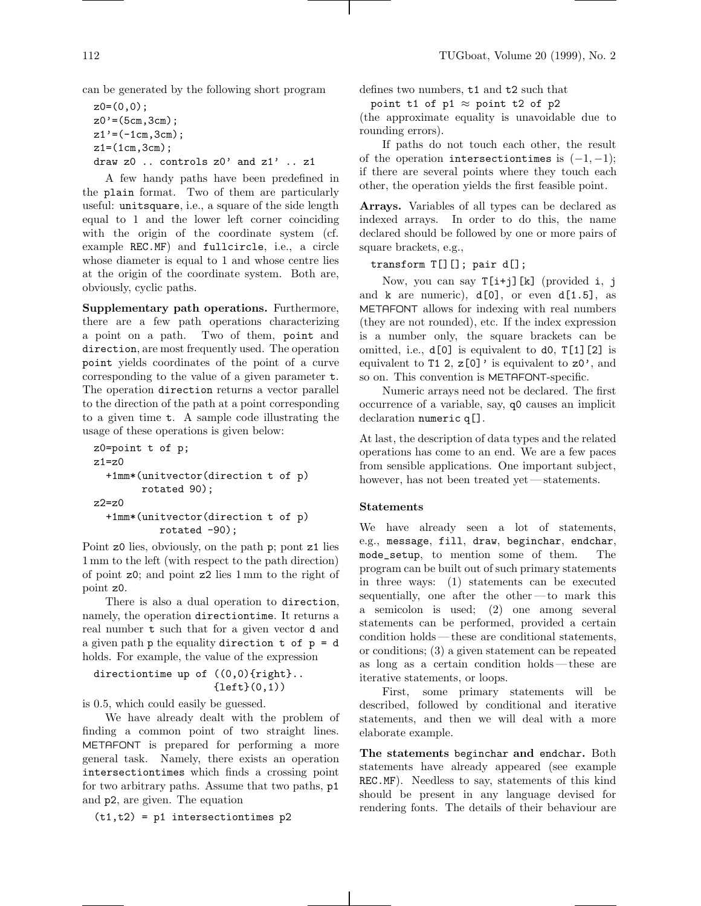can be generated by the following short program

```
z0=(0,0);
z0' = (5cm,3cm);z1' = (-1cm, 3cm);
z1=(1cm,3cm);draw z0 .. controls z0' and z1' .. z1
```
A few handy paths have been predefined in the plain format. Two of them are particularly useful: unitsquare, i.e., a square of the side length equal to 1 and the lower left corner coinciding with the origin of the coordinate system (cf. example REC.MF) and fullcircle, i.e., a circle whose diameter is equal to 1 and whose centre lies at the origin of the coordinate system. Both are, obviously, cyclic paths.

**Supplementary path operations.** Furthermore, there are a few path operations characterizing a point on a path. Two of them, point and direction, are most frequently used. The operation point yields coordinates of the point of a curve corresponding to the value of a given parameter t. The operation direction returns a vector parallel to the direction of the path at a point corresponding to a given time t. A sample code illustrating the usage of these operations is given below:

```
z0=point t of p;
z1 = z0+1mm*(unitvector(direction t of p)
        rotated 90);
z2=z0+1mm*(unitvector(direction t of p)
           rotated -90);
```
Point z0 lies, obviously, on the path p; pont z1 lies 1mm to the left (with respect to the path direction) of point z0; and point z2 lies 1 mm to the right of point z0.

There is also a dual operation to direction, namely, the operation directiontime. It returns a real number t such that for a given vector d and a given path  $p$  the equality direction  $t$  of  $p = d$ holds. For example, the value of the expression

```
directiontime up of ((0,0){right}..
                      \{left(0,1)\right)
```
is 0.5, which could easily be guessed.

We have already dealt with the problem of finding a common point of two straight lines. METAFONT is prepared for performing a more general task. Namely, there exists an operation intersectiontimes which finds a crossing point for two arbitrary paths. Assume that two paths, p1 and p2, are given. The equation

 $(t1,t2) = p1$  intersectiontimes p2

defines two numbers, t1 and t2 such that

point t1 of p1  $\approx$  point t2 of p2

(the approximate equality is unavoidable due to rounding errors).

If paths do not touch each other, the result of the operation intersectiontimes is  $(-1,-1)$ ; if there are several points where they touch each other, the operation yields the first feasible point.

**Arrays.** Variables of all types can be declared as indexed arrays. In order to do this, the name declared should be followed by one or more pairs of square brackets, e.g.,

```
transform T[][]; pair d[];
```
Now, you can say  $T[i+j][k]$  (provided i, j and  $k$  are numeric),  $d[0]$ , or even  $d[1.5]$ , as METAFONT allows for indexing with real numbers (they are not rounded), etc. If the index expression is a number only, the square brackets can be omitted, i.e., d[0] is equivalent to d0, T[1][2] is equivalent to T1 2,  $z[0]'$  is equivalent to  $z0'$ , and so on. This convention is METAFONT-specific.

Numeric arrays need not be declared. The first occurrence of a variable, say, q0 causes an implicit declaration numeric q[].

At last, the description of data types and the related operations has come to an end. We are a few paces from sensible applications. One important subject, however, has not been treated yet— statements.

#### **Statements**

We have already seen a lot of statements, e.g., message, fill, draw, beginchar, endchar, mode\_setup, to mention some of them. The program can be built out of such primary statements in three ways: (1) statements can be executed sequentially, one after the other —to mark this a semicolon is used; (2) one among several statements can be performed, provided a certain condition holds —these are conditional statements, or conditions; (3) a given statement can be repeated as long as a certain condition holds —these are iterative statements, or loops.

First, some primary statements will be described, followed by conditional and iterative statements, and then we will deal with a more elaborate example.

**The statements** beginchar **and** endchar**.** Both statements have already appeared (see example REC.MF). Needless to say, statements of this kind should be present in any language devised for rendering fonts. The details of their behaviour are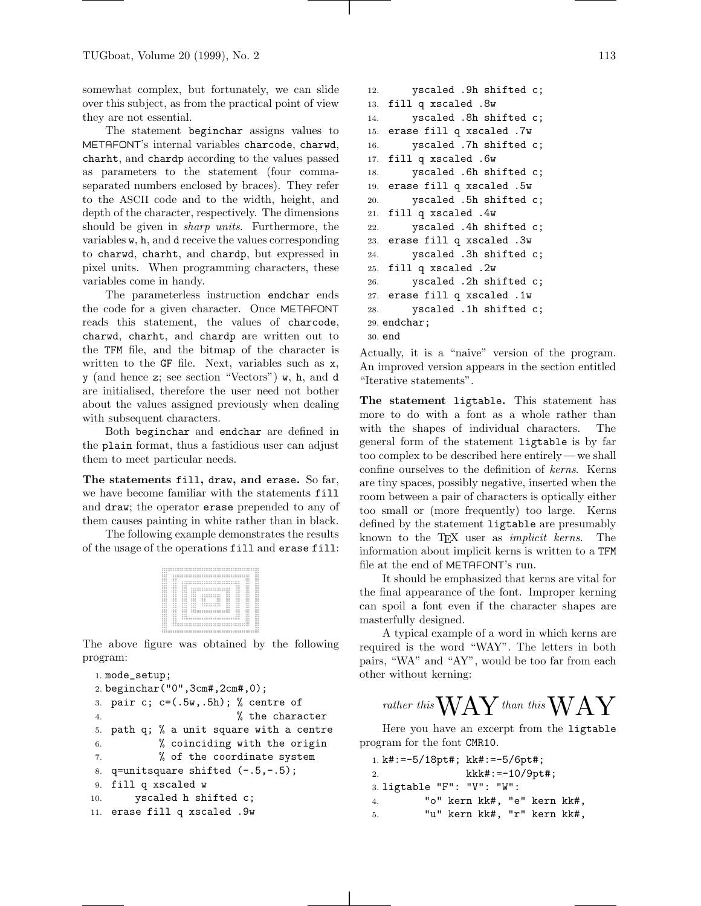somewhat complex, but fortunately, we can slide over this subject, as from the practical point of view they are not essential.

The statement beginchar assigns values to METAFONT's internal variables charcode, charwd, charht, and chardp according to the values passed as parameters to the statement (four commaseparated numbers enclosed by braces). They refer to the ASCII code and to the width, height, and depth of the character, respectively. The dimensions should be given in sharp units. Furthermore, the variables w, h, and d receive the values corresponding to charwd, charht, and chardp, but expressed in pixel units. When programming characters, these variables come in handy.

The parameterless instruction endchar ends the code for a given character. Once METAFONT reads this statement, the values of charcode, charwd, charht, and chardp are written out to the TFM file, and the bitmap of the character is written to the GF file. Next, variables such as x, y (and hence z; see section "Vectors") w, h, and d are initialised, therefore the user need not bother about the values assigned previously when dealing with subsequent characters.

Both beginchar and endchar are defined in the plain format, thus a fastidious user can adjust them to meet particular needs.

**The statements** fill**,** draw**, and** erase**.** So far, we have become familiar with the statements fill and draw; the operator erase prepended to any of them causes painting in white rather than in black.

The following example demonstrates the results of the usage of the operations fill and erase fill:



The above figure was obtained by the following program:

```
1. mode_setup;
2. beginchar("0",3cm#,2cm#,0);
3. pair c; c=(.5w,.5h); % centre of
4. % the character
5. path q; % a unit square with a centre
6. % coinciding with the origin
7. % of the coordinate system
8. q=unitsquare shifted (-.5,-.5);
9. fill q xscaled w
10. yscaled h shifted c;
11. erase fill q xscaled .9w
```

```
12. yscaled .9h shifted c;
13. fill q xscaled .8w
14. yscaled .8h shifted c;
15. erase fill q xscaled .7w
16. yscaled .7h shifted c;
17. fill q xscaled .6w
18. yscaled .6h shifted c;
19. erase fill q xscaled .5w
20. yscaled .5h shifted c;
21. fill q xscaled .4w
22. yscaled .4h shifted c;
23. erase fill q xscaled .3w
24. yscaled .3h shifted c;
25. fill q xscaled .2w
26. yscaled .2h shifted c;
27. erase fill q xscaled .1w
28. yscaled .1h shifted c;
29. endchar;
30. end
```
Actually, it is a "naive" version of the program. An improved version appears in the section entitled "Iterative statements".

**The statement** ligtable**.** This statement has more to do with a font as a whole rather than with the shapes of individual characters. The general form of the statement ligtable is by far too complex to be described here entirely— we shall confine ourselves to the definition of kerns. Kerns are tiny spaces, possibly negative, inserted when the room between a pair of characters is optically either too small or (more frequently) too large. Kerns defined by the statement ligtable are presumably known to the T<sub>EX</sub> user as *implicit kerns*. The information about implicit kerns is written to a TFM file at the end of METAFONT's run.

It should be emphasized that kerns are vital for the final appearance of the font. Improper kerning can spoil a font even if the character shapes are masterfully designed.

A typical example of a word in which kerns are required is the word "WAY". The letters in both pairs, "WA" and "AY", would be too far from each other without kerning:

# rather this  $\rm WAY$  than this  $\rm WAY$

Here you have an excerpt from the ligtable program for the font CMR10.

```
1. k#:=-5/18pt#; kk#:=-5/6pt#;
2. kkk#:=-10/9pt#;
3. ligtable "F": "V": "W":
4. "o" kern kk#, "e" kern kk#,
5. "u" kern kk#, "r" kern kk#,
```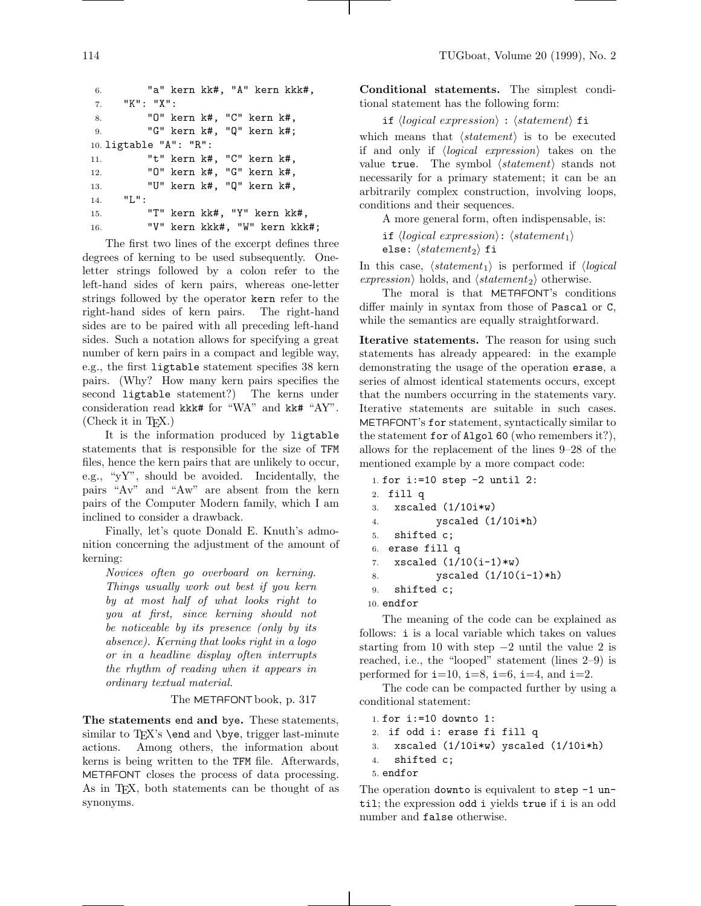```
6. "a" kern kk#, "A" kern kkk#,
7. "K": "X":
8. "O" kern k#, "C" kern k#,
9. "G" kern k#, "Q" kern k#;
10. ligtable "A": "R":
11. "t" kern k#, "C" kern k#,
12. "O" kern k#, "G" kern k#,
13. "U" kern k#, "Q" kern k#,
14. "L":
15. "T" kern kk#, "Y" kern kk#,
16. "V" kern kkk#, "W" kern kkk#;
```
The first two lines of the excerpt defines three degrees of kerning to be used subsequently. Oneletter strings followed by a colon refer to the left-hand sides of kern pairs, whereas one-letter strings followed by the operator kern refer to the right-hand sides of kern pairs. The right-hand sides are to be paired with all preceding left-hand sides. Such a notation allows for specifying a great number of kern pairs in a compact and legible way, e.g., the first ligtable statement specifies 38 kern pairs. (Why? How many kern pairs specifies the second ligtable statement?) The kerns under consideration read kkk# for "WA" and kk# "AY".  $(Check it in TFX.)$ 

It is the information produced by ligtable statements that is responsible for the size of TFM files, hence the kern pairs that are unlikely to occur, e.g., "yY", should be avoided. Incidentally, the pairs "Av" and "Aw" are absent from the kern pairs of the Computer Modern family, which I am inclined to consider a drawback.

Finally, let's quote Donald E. Knuth's admonition concerning the adjustment of the amount of kerning:

Novices often go overboard on kerning. Things usually work out best if you kern by at most half of what looks right to you at first, since kerning should not be noticeable by its presence (only by its absence). Kerning that looks right in a logo or in a headline display often interrupts the rhythm of reading when it appears in ordinary textual material.

The METAFONT book, p. 317

**The statements** end **and** bye**.** These statements, similar to T<sub>E</sub>X's **\end** and **\bye**, trigger last-minute actions. Among others, the information about Among others, the information about kerns is being written to the TFM file. Afterwards, METAFONT closes the process of data processing. As in TEX, both statements can be thought of as synonyms.

**Conditional statements.** The simplest conditional statement has the following form:

if  $\langle logical\ expression \rangle : \langle statement \rangle$  fi

which means that  $\langle statement \rangle$  is to be executed if and only if  $\langle logical \text{ expression} \rangle$  takes on the value true. The symbol  $\langle statement \rangle$  stands not necessarily for a primary statement; it can be an arbitrarily complex construction, involving loops, conditions and their sequences.

A more general form, often indispensable, is:

if  $\langle logical\ expression \rangle: \langle statement_1 \rangle$ else:  $\langle statement_2 \rangle$  fi

In this case,  $\langle statement_1 \rangle$  is performed if  $\langle logical$ expression) holds, and  $\langle statement_2 \rangle$  otherwise.

The moral is that METAFONT's conditions differ mainly in syntax from those of Pascal or C, while the semantics are equally straightforward.

**Iterative statements.** The reason for using such statements has already appeared: in the example demonstrating the usage of the operation erase, a series of almost identical statements occurs, except that the numbers occurring in the statements vary. Iterative statements are suitable in such cases. METAFONT's for statement, syntactically similar to the statement for of Algol 60 (who remembers it?), allows for the replacement of the lines 9–28 of the mentioned example by a more compact code:

```
1. for i:=10 step -2 until 2:
2. fill q
3. xscaled (1/10i*w)4. yscaled (1/10i*h)
5. shifted c;
6. erase fill q
7. xscaled (1/10(i-1)*w)8. yscaled (1/10(i-1)*h)
9. shifted c;
10. endfor
```
The meaning of the code can be explained as follows: i is a local variable which takes on values starting from 10 with step  $-2$  until the value 2 is reached, i.e., the "looped" statement (lines 2–9) is performed for  $i=10$ ,  $i=8$ ,  $i=6$ ,  $i=4$ , and  $i=2$ .

The code can be compacted further by using a conditional statement:

```
1. for i:=10 downto 1:
2. if odd i: erase fi fill q
3. xscaled (1/10i*w) yscaled (1/10i*h)
4. shifted c;
5. endfor
```
The operation downto is equivalent to step -1 until; the expression odd i yields true if i is an odd number and false otherwise.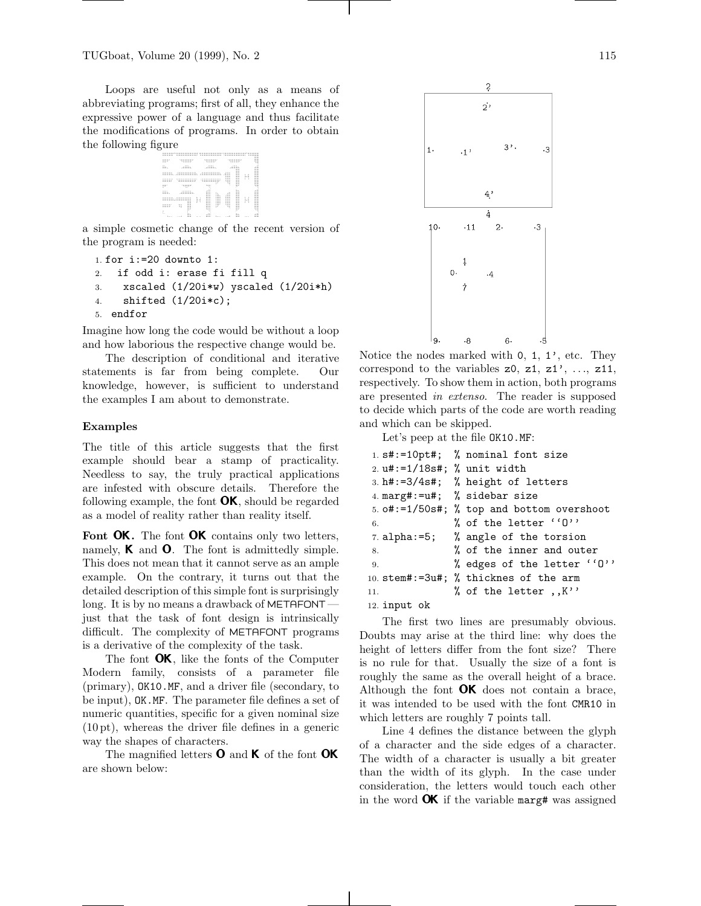Loops are useful not only as a means of abbreviating programs; first of all, they enhance the expressive power of a language and thus facilitate the modifications of programs. In order to obtain the following figure

$$
\frac{\sum_{i=1}^{n} \sum_{j=1}^{n} \sum_{j=1}^{n} \sum_{j=1}^{n} \sum_{j=1}^{n} \sum_{j=1}^{n} \sum_{j=1}^{n} \sum_{j=1}^{n} \sum_{j=1}^{n} \sum_{j=1}^{n} \sum_{j=1}^{n} \sum_{j=1}^{n} \sum_{j=1}^{n} \sum_{j=1}^{n} \sum_{j=1}^{n} \sum_{j=1}^{n} \sum_{j=1}^{n} \sum_{j=1}^{n} \sum_{j=1}^{n} \sum_{j=1}^{n} \sum_{j=1}^{n} \sum_{j=1}^{n} \sum_{j=1}^{n} \sum_{j=1}^{n} \sum_{j=1}^{n} \sum_{j=1}^{n} \sum_{j=1}^{n} \sum_{j=1}^{n} \sum_{j=1}^{n} \sum_{j=1}^{n} \sum_{j=1}^{n} \sum_{j=1}^{n} \sum_{j=1}^{n} \sum_{j=1}^{n} \sum_{j=1}^{n} \sum_{j=1}^{n} \sum_{j=1}^{n} \sum_{j=1}^{n} \sum_{j=1}^{n} \sum_{j=1}^{n} \sum_{j=1}^{n} \sum_{j=1}^{n} \sum_{j=1}^{n} \sum_{j=1}^{n} \sum_{j=1}^{n} \sum_{j=1}^{n} \sum_{j=1}^{n} \sum_{j=1}^{n} \sum_{j=1}^{n} \sum_{j=1}^{n} \sum_{j=1}^{n} \sum_{j=1}^{n} \sum_{j=1}^{n} \sum_{j=1}^{n} \sum_{j=1}^{n} \sum_{j=1}^{n} \sum_{j=1}^{n} \sum_{j=1}^{n} \sum_{j=1}^{n} \sum_{j=1}^{n} \sum_{j=1}^{n} \sum_{j=1}^{n} \sum_{j=1}^{n} \sum_{j=1}^{n} \sum_{j=1}^{n} \sum_{j=1}^{n} \sum_{j=1}^{n} \sum_{j=1}^{n} \sum_{j=1}^{n} \sum_{j=1}^{n} \sum_{j=1}^{n} \sum_{j=1}^{n} \sum_{j=1}^{n} \sum_{j=1}^{n} \sum_{j=1}^{n} \sum_{j=1}^{
$$

a simple cosmetic change of the recent version of the program is needed:

```
1. for i:=20 downto 1:
2. if odd i: erase fi fill q
3. xscaled (1/20i*w) yscaled (1/20i*h)
4. shifted (1/20i*c);
5. endfor
```
Imagine how long the code would be without a loop and how laborious the respective change would be.

The description of conditional and iterative statements is far from being complete. Our knowledge, however, is sufficient to understand the examples I am about to demonstrate.

#### **Examples**

The title of this article suggests that the first example should bear a stamp of practicality. Needless to say, the truly practical applications are infested with obscure details. Therefore the following example, the font  $\mathbf{OK}$ , should be regarded as a model of reality rather than reality itself.

Font OK. The font OK contains only two letters, namely, **K** and **O**. The font is admittedly simple. This does not mean that it cannot serve as an ample example. On the contrary, it turns out that the detailed description of this simple font is surprisingly long. It is by no means a drawback of METAFONT just that the task of font design is intrinsically difficult. The complexity of METAFONT programs is a derivative of the complexity of the task.

The font **OK**, like the fonts of the Computer Modern family, consists of a parameter file (primary), OK10.MF, and a driver file (secondary, to be input), OK.MF. The parameter file defines a set of numeric quantities, specific for a given nominal size (10pt), whereas the driver file defines in a generic way the shapes of characters.

The magnified letters  $\bf{0}$  and  $\bf{K}$  of the font  $\bf{OK}$ are shown below:



Notice the nodes marked with 0, 1, 1', etc. They correspond to the variables  $z0$ ,  $z1$ ,  $z1'$ , ...,  $z11$ , respectively. To show them in action, both programs are presented in extenso. The reader is supposed to decide which parts of the code are worth reading and which can be skipped.

Let's peep at the file OK10.MF:

|                                  | 1. $s# := 10pt$ ; % nominal font size     |
|----------------------------------|-------------------------------------------|
| 2. $u# := 1/18s#$ ; % unit width |                                           |
|                                  | 3. h#:=3/4s#; % height of letters         |
|                                  | 4. marg#:=u#; % sidebar size              |
|                                  | 5. o#:=1/50s#; % top and bottom overshoot |
| 6.                               | % of the letter ''0''                     |
|                                  | 7. alpha: $=5$ ; % angle of the torsion   |
| 8.                               | % of the inner and outer                  |
| 9.                               | % edges of the letter ''0''               |
|                                  | 10. stem#:=3u#; % thicknes of the arm     |
| 11.                              | % of the letter $, K'$                    |
| 12. input ok                     |                                           |

The first two lines are presumably obvious. Doubts may arise at the third line: why does the height of letters differ from the font size? There is no rule for that. Usually the size of a font is roughly the same as the overall height of a brace. Although the font  $\mathbf{OK}$  does not contain a brace, it was intended to be used with the font CMR10 in which letters are roughly 7 points tall.

Line 4 defines the distance between the glyph of a character and the side edges of a character. The width of a character is usually a bit greater than the width of its glyph. In the case under consideration, the letters would touch each other in the word  $\overline{OK}$  if the variable marg# was assigned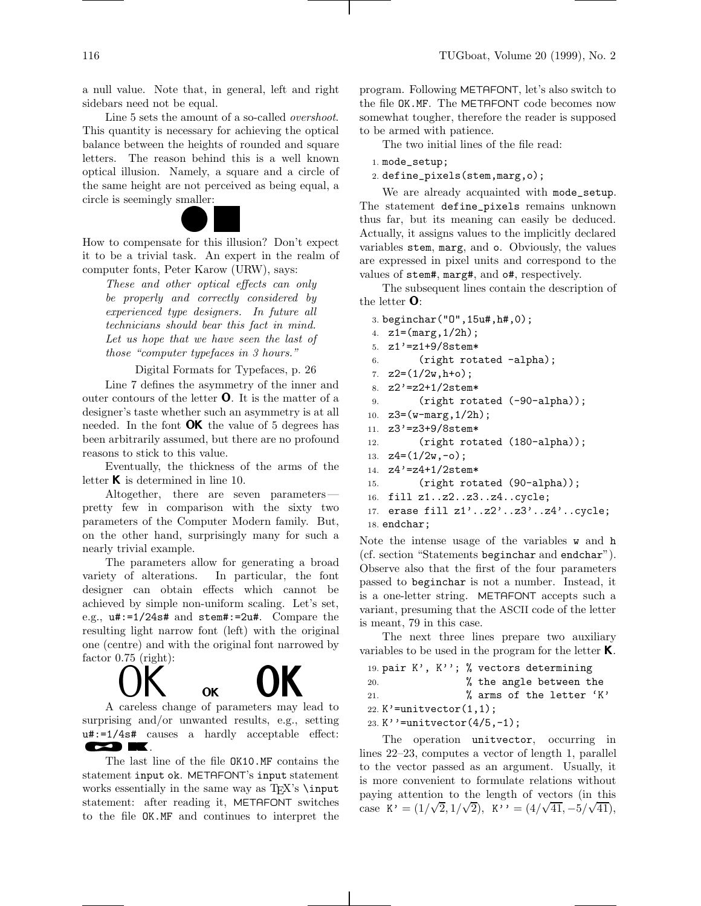a null value. Note that, in general, left and right sidebars need not be equal.

Line 5 sets the amount of a so-called *overshoot*. This quantity is necessary for achieving the optical balance between the heights of rounded and square letters. The reason behind this is a well known optical illusion. Namely, a square and a circle of the same height are not perceived as being equal, a circle is seemingly smaller:



How to compensate for this illusion? Don't expect it to be a trivial task. An expert in the realm of computer fonts, Peter Karow (URW), says:

These and other optical effects can only be properly and correctly considered by experienced type designers. In future all technicians should bear this fact in mind. Let us hope that we have seen the last of those "computer typefaces in 3 hours."

Digital Formats for Typefaces, p. 26

Line 7 defines the asymmetry of the inner and outer contours of the letter <sup>O</sup>. It is the matter of a designer's taste whether such an asymmetry is at all needed. In the font  $\mathbf{OK}$  the value of 5 degrees has been arbitrarily assumed, but there are no profound reasons to stick to this value.

Eventually, the thickness of the arms of the letter  $\boldsymbol{\mathsf{K}}$  is determined in line 10.

Altogether, there are seven parameters pretty few in comparison with the sixty two parameters of the Computer Modern family. But, on the other hand, surprisingly many for such a nearly trivial example.

The parameters allow for generating a broad variety of alterations. In particular, the font designer can obtain effects which cannot be achieved by simple non-uniform scaling. Let's set, e.g., u#:=1/24s# and stem#:=2u#. Compare the resulting light narrow font (left) with the original one (centre) and with the original font narrowed by factor 0.75 (right):

 $\bullet$  or  $\bullet$  or  $\bullet$  or  $\bullet$  or  $\bullet$  or  $\bullet$  or  $\bullet$  or  $\bullet$  or  $\bullet$  or  $\bullet$  or  $\bullet$  or  $\bullet$  or  $\bullet$  or  $\bullet$  or  $\bullet$  or  $\bullet$  or  $\bullet$  or  $\bullet$  or  $\bullet$  or  $\bullet$  or  $\bullet$  or  $\bullet$  or  $\bullet$  or  $\bullet$  or  $\bullet$  or  $\bullet$  or  $\bullet$  or  $\bullet$  A careless change of parameters may lead to surprising and/or unwanted results, e.g., setting u#:=1/4s# causes a hardly acceptable effect: OK A REPORT OF THE CONTRACT OF THE CONTRACT OF THE CONTRACT OF THE CONTRACT OF THE CONTRACT OF THE CONTRACT OF .

OK

The last line of the file OK10.MF contains the statement input ok. METAFONT's input statement works essentially in the same way as  $TEX$ 's  $\infty$ statement: after reading it, METAFONT switches to the file OK.MF and continues to interpret the program. Following METAFONT, let's also switch to the file OK.MF. The METAFONT code becomes now somewhat tougher, therefore the reader is supposed to be armed with patience.

The two initial lines of the file read:

```
1. mode_setup;
```
2. define\_pixels(stem,marg,o);

Actually, it assigns values to the implicitly declared We are already acquainted with mode\_setup. The statement define\_pixels remains unknown thus far, but its meaning can easily be deduced. variables stem, marg, and o. Obviously, the values are expressed in pixel units and correspond to the values of stem#, marg#, and o#, respectively.

> The subsequent lines contain the description of the letter <sup>O</sup>:

```
3. beginchar("O",15u#,h#,0);
4. z1=(marg,1/2h);
5. z1'=z1+9/8stem*
6. (right rotated -alpha);
7. z2=(1/2w, h+o);
8. z2'=z2+1/2stem*
9. (right rotated (-90-alpha));
10. z3=(w-marg,1/2h);
11. z3'=z3+9/8stem*
12. (right rotated (180-alpha));
13. z4=(1/2w, -0);
14. z4'=z4+1/2stem*
15. (right rotated (90-alpha));
16. fill z1..z2..z3..z4..cycle;
17. erase fill z1'..z2'..z3'..z4'..cycle;
18. endchar;
```
Note the intense usage of the variables w and h (cf. section "Statements beginchar and endchar"). Observe also that the first of the four parameters passed to beginchar is not a number. Instead, it is a one-letter string. METAFONT accepts such a variant, presuming that the ASCII code of the letter is meant, 79 in this case.

The next three lines prepare two auxiliary variables to be used in the program for the letter  $\mathsf{K}$ .

```
19. pair K', K''; % vectors determining
20. % the angle between the
```
21. % arms of the letter 'K'

22. K'=unitvector $(1,1)$ ;

23. K''=unitvector(4/5,-1);

The operation unitvector, occurring in lines 22–23, computes a vector of length 1, parallel to the vector passed as an argument. Usually, it is more convenient to formulate relations without paying attention to the length of vectors (in this case K' =  $(1/\sqrt{2}, 1/\sqrt{2})$ , K'' =  $(4/\sqrt{41}, -5/\sqrt{41})$ ,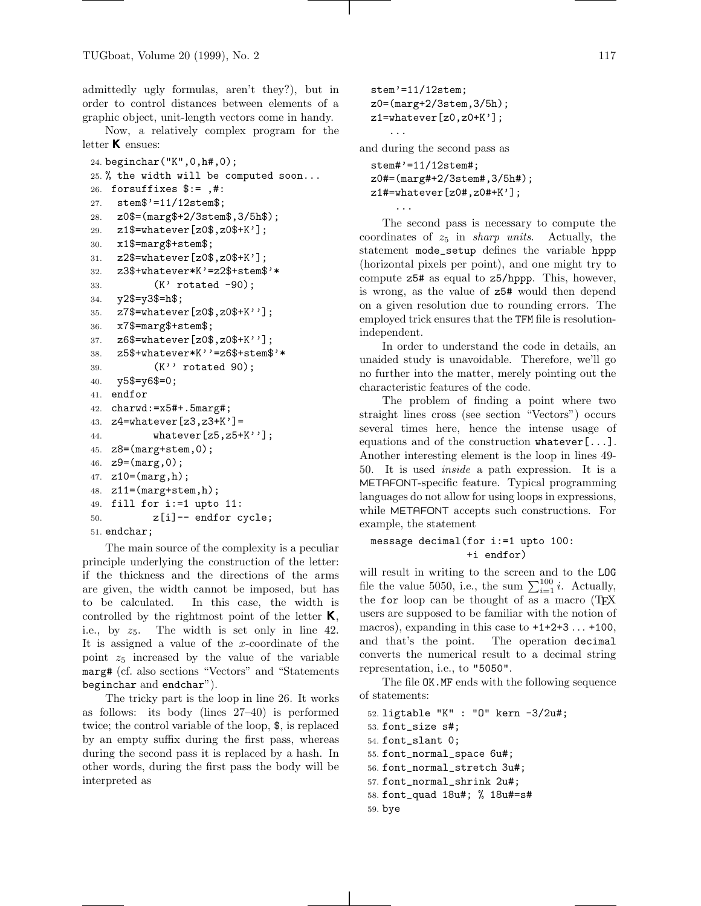admittedly ugly formulas, aren't they?), but in order to control distances between elements of a graphic object, unit-length vectors come in handy.

Now, a relatively complex program for the letter  $K$  ensues:

```
24. beginchar("K",0,h#,0);
25. % the width will be computed soon...
26. forsuffixes $:= ,#:
27. stem$'=11/12stem$;
28. z0$=(marg$+2/3stem$,3/5h$);
29. z1$=whatever[z0$,z0$+K'];
30. x1$=marg$+stem$;
31. z2$=whatever[z0$,z0$+K'];
32. z3$+whatever*K'=z2$+stem$'*
33. (K' rotated -90);
34. y2$=y3$=h$;
35. z7$=whatever[z0$,z0$+K''];
36. x7$=marg$+stem$;
37. z6$=whatever[z0$,z0$+K''];
38. z5$+whatever*K''=z6$+stem$'*
39. (K'' rotated 90);
40. y5$=y6$=0;
41. endfor
42. charwd:=x5#+.5marg#;
43. z4=whatever[z3,z3+K']=
44. whatever[z5,z5+K''];
45. z8=(\text{marg+stem},0);
46. z9=(marg,0);47. z10=(\text{marg},h);
48. z11=(marg+stem,h);
49. fill for i:=1 upto 11:
50. z[i] -- endfor cycle;
51. endchar;
```
The main source of the complexity is a peculiar principle underlying the construction of the letter: if the thickness and the directions of the arms are given, the width cannot be imposed, but has to be calculated. In this case, the width is controlled by the rightmost point of the letter  $K$ , i.e., by  $z_5$ . The width is set only in line 42. It is assigned a value of the  $x$ -coordinate of the point  $z_5$  increased by the value of the variable marg# (cf. also sections "Vectors" and "Statements beginchar and endchar").

The tricky part is the loop in line 26. It works as follows: its body (lines 27–40) is performed twice; the control variable of the loop, \$, is replaced by an empty suffix during the first pass, whereas during the second pass it is replaced by a hash. In other words, during the first pass the body will be interpreted as

```
stem'=11/12stem;
z0=(marg+2/3stem,3/5h);
z1=whatever[z0,z0+K'];
   ...
```
...

and during the second pass as

```
stem#'=11/12stem#;
z0#=(marg#+2/3stem#,3/5h#);
z1#=whatever[z0#,z0#+K'];
```
The second pass is necessary to compute the coordinates of  $z_5$  in *sharp units*. Actually, the statement mode\_setup defines the variable hppp (horizontal pixels per point), and one might try to compute z5# as equal to z5/hppp. This, however, is wrong, as the value of z5# would then depend on a given resolution due to rounding errors. The employed trick ensures that the TFM file is resolutionindependent.

In order to understand the code in details, an unaided study is unavoidable. Therefore, we'll go no further into the matter, merely pointing out the characteristic features of the code.

The problem of finding a point where two straight lines cross (see section "Vectors") occurs several times here, hence the intense usage of equations and of the construction whatever[...]. Another interesting element is the loop in lines 49- 50. It is used inside a path expression. It is a METAFONT-specific feature. Typical programming languages do not allow for using loops in expressions, while METAFONT accepts such constructions. For example, the statement

# message decimal(for i:=1 upto 100: +i endfor)

will result in writing to the screen and to the LOG file the value 5050, i.e., the sum  $\sum_{i=1}^{100} i$ . Actually, the for loop can be thought of as a macro (TEX users are supposed to be familiar with the notion of macros), expanding in this case to  $+1+2+3$ ...  $+100$ , and that's the point. The operation decimal converts the numerical result to a decimal string representation, i.e., to "5050".

The file OK.MF ends with the following sequence of statements:

52. ligtable "K" : "O" kern -3/2u#; 53. font\_size s#; 54. font\_slant 0; 55. font\_normal\_space 6u#; 56. font\_normal\_stretch 3u#; 57. font\_normal\_shrink 2u#; 58. font\_quad 18u#; % 18u#=s# 59. bye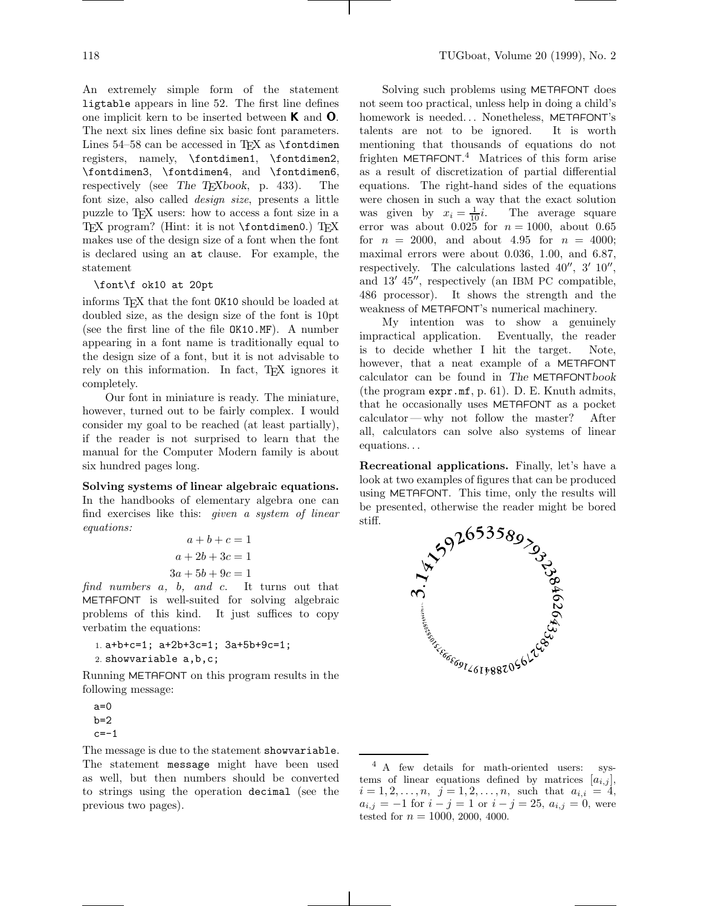An extremely simple form of the statement ligtable appears in line 52. The first line defines one implicit kern to be inserted between <sup>K</sup> and <sup>O</sup>. The next six lines define six basic font parameters. Lines  $54-58$  can be accessed in T<sub>EX</sub> as  $\forall$  fontdimen registers, namely, \fontdimen1, \fontdimen2, \fontdimen3, \fontdimen4, and \fontdimen6, respectively (see *The TEXbook*, p. 433). The font size, also called design size, presents a little puzzle to TEX users: how to access a font size in a TEX program? (Hint: it is not \fontdimen0.) TEX makes use of the design size of a font when the font is declared using an at clause. For example, the statement

### \font\f ok10 at 20pt

informs TEX that the font OK10 should be loaded at doubled size, as the design size of the font is 10pt (see the first line of the file OK10.MF). A number appearing in a font name is traditionally equal to the design size of a font, but it is not advisable to rely on this information. In fact, TEX ignores it completely.

Our font in miniature is ready. The miniature, however, turned out to be fairly complex. I would consider my goal to be reached (at least partially), if the reader is not surprised to learn that the manual for the Computer Modern family is about six hundred pages long.

# **Solving systems of linear algebraic equations.** In the handbooks of elementary algebra one can find exercises like this: given a system of linear equations:

$$
a+b+c=1
$$
  

$$
a+2b+3c=1
$$
  

$$
3a+5b+9c=1
$$

find numbers a, b, and c. It turns out that METAFONT is well-suited for solving algebraic problems of this kind. It just suffices to copy verbatim the equations:

```
1. a+b+c=1; a+2b+3c=1; 3a+5b+9c=1;
2. showvariable a,b,c;
```
Running METAFONT on this program results in the following message:

 $a=0$  $b=2$  $c=-1$ 

The message is due to the statement showvariable. The statement message might have been used as well, but then numbers should be converted to strings using the operation decimal (see the previous two pages).

Solving such problems using METAFONT does not seem too practical, unless help in doing a child's homework is needed... Nonetheless, METAFONT's talents are not to be ignored. It is worth mentioning that thousands of equations do not frighten METAFONT.<sup>4</sup> Matrices of this form arise as a result of discretization of partial differential equations. The right-hand sides of the equations were chosen in such a way that the exact solution was given by  $x_i = \frac{1}{10}i$ . The average square error was about  $0.025$  for  $n = 1000$ , about 0.65 for  $n = 2000$ , and about 4.95 for  $n = 4000$ ; maximal errors were about 0.036, 1.00, and 6.87, respectively. The calculations lasted  $40^{\prime\prime}$ ,  $3^{\prime}$   $10^{\prime\prime}$ , and  $13'$   $45''$ , respectively (an IBM PC compatible, 486 processor). It shows the strength and the weakness of METAFONT's numerical machinery.

My intention was to show a genuinely impractical application. Eventually, the reader is to decide whether I hit the target. Note, however, that a neat example of a METAFONT calculator can be found in *The* METAFONT*book* (the program expr.mf, p. 61). D. E. Knuth admits, that he occasionally uses METAFONT as a pocket calculator— why not follow the master? After all, calculators can solve also systems of linear equations...

**Recreational applications.** Finally, let's have a look at two examples of figures that can be produced using METAFONT. This time, only the results will be presented, otherwise the reader might be bored stiff.



<sup>4</sup> A few details for math-oriented users: systems of linear equations defined by matrices  $[a_{i,j}]$ ,  $i = 1, 2, \ldots, n, \ \ j = 1, 2, \ldots, n, \ \text{such that} \ \ a_{i,i} = 4,$  $a_{i,j} = -1$  for  $i - j = 1$  or  $i - j = 25$ ,  $a_{i,j} = 0$ , were tested for  $n = 1000, 2000, 4000$ .